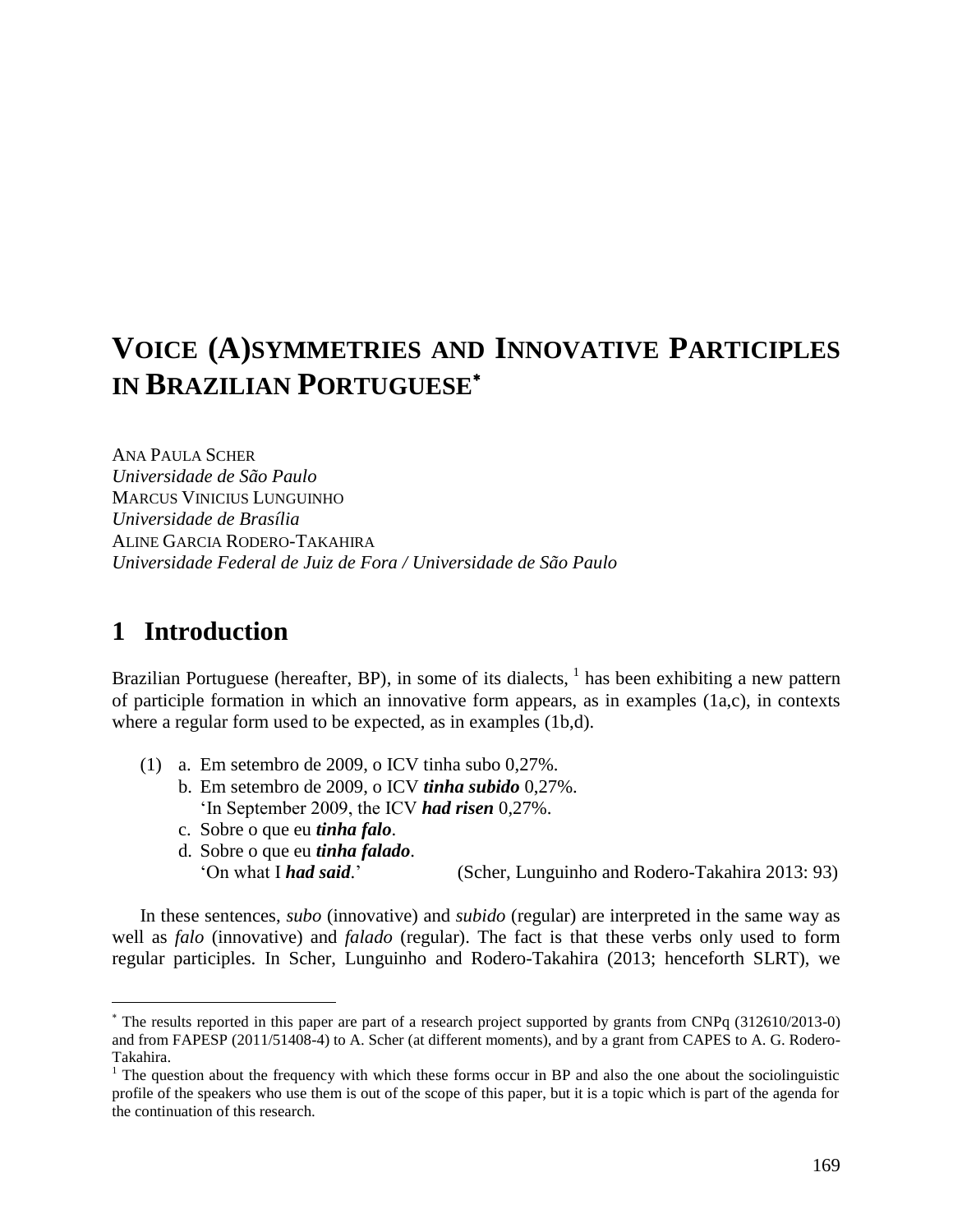# **VOICE (A)SYMMETRIES AND INNOVATIVE PARTICIPLES IN BRAZILIAN PORTUGUESE**

ANA PAULA SCHER *Universidade de São Paulo* MARCUS VINICIUS LUNGUINHO *Universidade de Brasília* ALINE GARCIA RODERO-TAKAHIRA *Universidade Federal de Juiz de Fora / Universidade de São Paulo*

# **1** Introduction

 $\overline{a}$ 

Brazilian Portuguese (hereafter, BP), in some of its dialects,  $<sup>1</sup>$  has been exhibiting a new pattern</sup> of participle formation in which an innovative form appears, as in examples  $(1a,c)$ , in contexts where a regular form used to be expected, as in examples (1b,d).

- (1) a. Em setembro de 2009, o ICV tinha subo 0,27%.
	- b. Em setembro de 2009, o ICV *tinha subido* 0,27%. 'In September 2009, the ICV *had risen* 0,27%.
	- c. Sobre o que eu *tinha falo*.
	- d. Sobre o que eu *tinha falado*. 'On what I *had said*.' (Scher, Lunguinho and Rodero-Takahira 2013: 93)

In these sentences, *subo* (innovative) and *subido* (regular) are interpreted in the same way as well as *falo* (innovative) and *falado* (regular). The fact is that these verbs only used to form regular participles. In Scher, Lunguinho and Rodero-Takahira (2013; henceforth SLRT), we

The results reported in this paper are part of a research project supported by grants from CNPq (312610/2013-0) and from FAPESP (2011/51408-4) to A. Scher (at different moments), and by a grant from CAPES to A. G. Rodero-Takahira.

 $1$  The question about the frequency with which these forms occur in BP and also the one about the sociolinguistic profile of the speakers who use them is out of the scope of this paper, but it is a topic which is part of the agenda for the continuation of this research.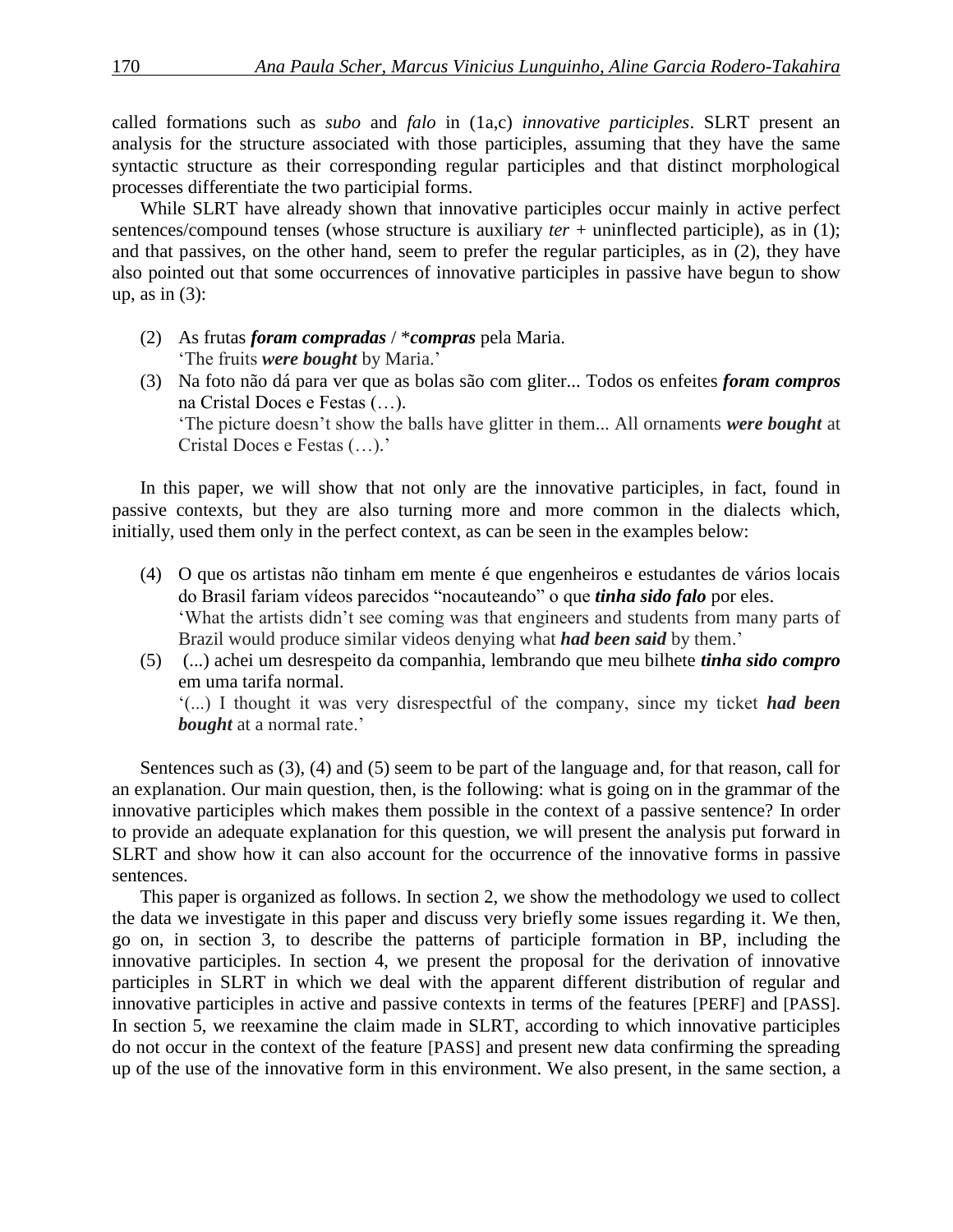called formations such as *subo* and *falo* in (1a,c) *innovative participles*. SLRT present an analysis for the structure associated with those participles, assuming that they have the same syntactic structure as their corresponding regular participles and that distinct morphological processes differentiate the two participial forms.

While SLRT have already shown that innovative participles occur mainly in active perfect sentences/compound tenses (whose structure is auxiliary *ter* + uninflected participle), as in (1); and that passives, on the other hand, seem to prefer the regular participles, as in (2), they have also pointed out that some occurrences of innovative participles in passive have begun to show up, as in  $(3)$ :

- (2) As frutas *foram compradas* / \**compras* pela Maria. 'The fruits *were bought* by Maria.'
- (3) Na foto não dá para ver que as bolas são com gliter... Todos os enfeites *foram compros*  na Cristal Doces e Festas (…). 'The picture doesn't show the balls have glitter in them... All ornaments *were bought* at Cristal Doces e Festas (…).'

In this paper, we will show that not only are the innovative participles, in fact, found in passive contexts, but they are also turning more and more common in the dialects which, initially, used them only in the perfect context, as can be seen in the examples below:

- (4) O que os artistas não tinham em mente é que engenheiros e estudantes de vários locais do Brasil fariam vídeos parecidos "nocauteando" o que *tinha sido falo* por eles. 'What the artists didn't see coming was that engineers and students from many parts of Brazil would produce similar videos denying what *had been said* by them.'
- (5) (...) achei um desrespeito da companhia, lembrando que meu bilhete *tinha sido compro* em uma tarifa normal. '(...) I thought it was very disrespectful of the company, since my ticket *had been*

*bought* at a normal rate.'

Sentences such as (3), (4) and (5) seem to be part of the language and, for that reason, call for an explanation. Our main question, then, is the following: what is going on in the grammar of the innovative participles which makes them possible in the context of a passive sentence? In order to provide an adequate explanation for this question, we will present the analysis put forward in SLRT and show how it can also account for the occurrence of the innovative forms in passive sentences.

This paper is organized as follows. In section 2, we show the methodology we used to collect the data we investigate in this paper and discuss very briefly some issues regarding it. We then, go on, in section 3, to describe the patterns of participle formation in BP, including the innovative participles. In section 4, we present the proposal for the derivation of innovative participles in SLRT in which we deal with the apparent different distribution of regular and innovative participles in active and passive contexts in terms of the features [PERF] and [PASS]. In section 5, we reexamine the claim made in SLRT, according to which innovative participles do not occur in the context of the feature [PASS] and present new data confirming the spreading up of the use of the innovative form in this environment. We also present, in the same section, a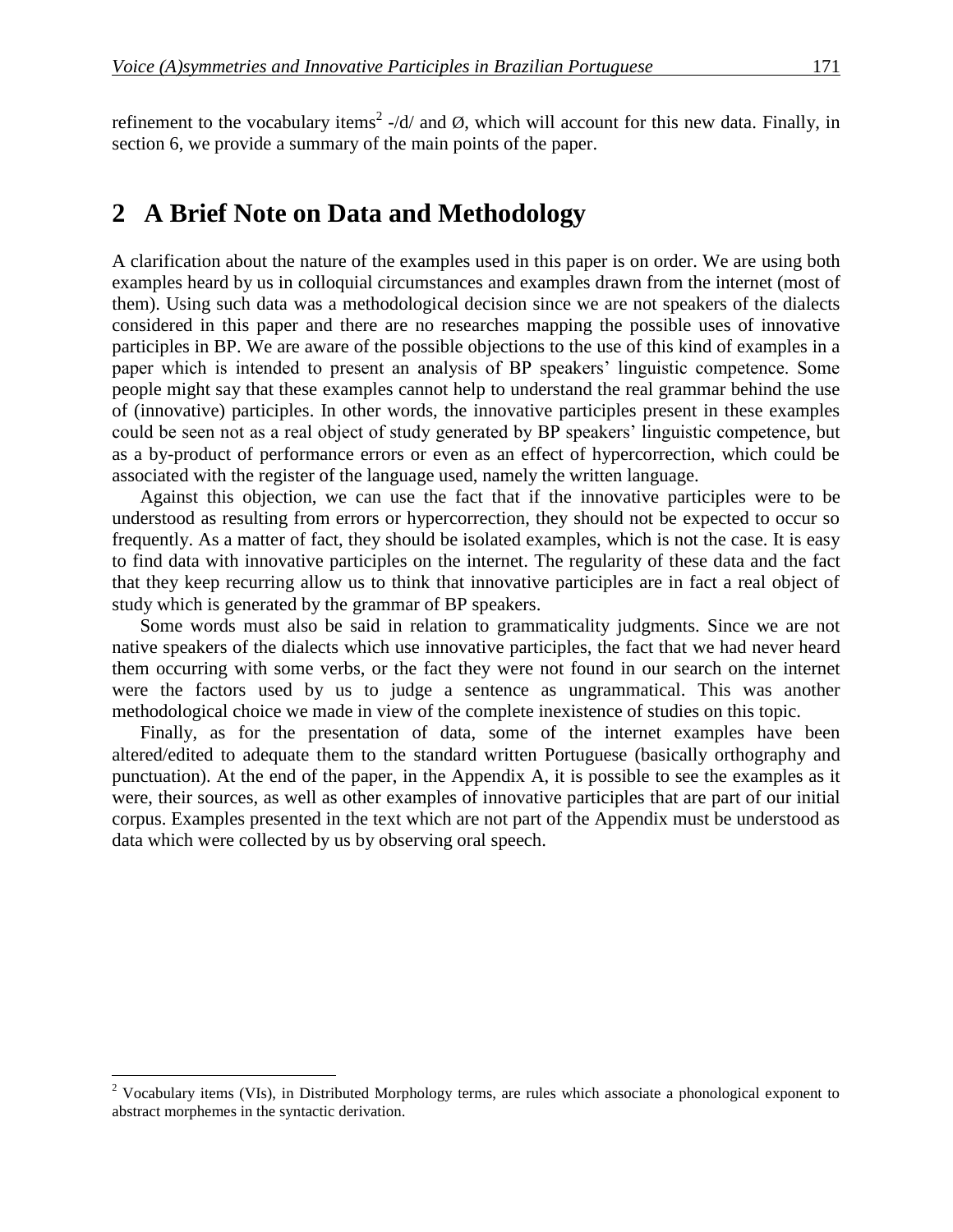refinement to the vocabulary items<sup>2</sup> -/d/ and  $\emptyset$ , which will account for this new data. Finally, in section 6, we provide a summary of the main points of the paper.

## 2 A Brief Note on Data and Methodology

A clarification about the nature of the examples used in this paper is on order. We are using both examples heard by us in colloquial circumstances and examples drawn from the internet (most of them). Using such data was a methodological decision since we are not speakers of the dialects considered in this paper and there are no researches mapping the possible uses of innovative participles in BP. We are aware of the possible objections to the use of this kind of examples in a paper which is intended to present an analysis of BP speakers' linguistic competence. Some people might say that these examples cannot help to understand the real grammar behind the use of (innovative) participles. In other words, the innovative participles present in these examples could be seen not as a real object of study generated by BP speakers' linguistic competence, but as a by-product of performance errors or even as an effect of hypercorrection, which could be associated with the register of the language used, namely the written language.

Against this objection, we can use the fact that if the innovative participles were to be understood as resulting from errors or hypercorrection, they should not be expected to occur so frequently. As a matter of fact, they should be isolated examples, which is not the case. It is easy to find data with innovative participles on the internet. The regularity of these data and the fact that they keep recurring allow us to think that innovative participles are in fact a real object of study which is generated by the grammar of BP speakers.

Some words must also be said in relation to grammaticality judgments. Since we are not native speakers of the dialects which use innovative participles, the fact that we had never heard them occurring with some verbs, or the fact they were not found in our search on the internet were the factors used by us to judge a sentence as ungrammatical. This was another methodological choice we made in view of the complete inexistence of studies on this topic.

Finally, as for the presentation of data, some of the internet examples have been altered/edited to adequate them to the standard written Portuguese (basically orthography and punctuation). At the end of the paper, in the Appendix A, it is possible to see the examples as it were, their sources, as well as other examples of innovative participles that are part of our initial corpus. Examples presented in the text which are not part of the Appendix must be understood as data which were collected by us by observing oral speech.

 $2$  Vocabulary items (VIs), in Distributed Morphology terms, are rules which associate a phonological exponent to abstract morphemes in the syntactic derivation.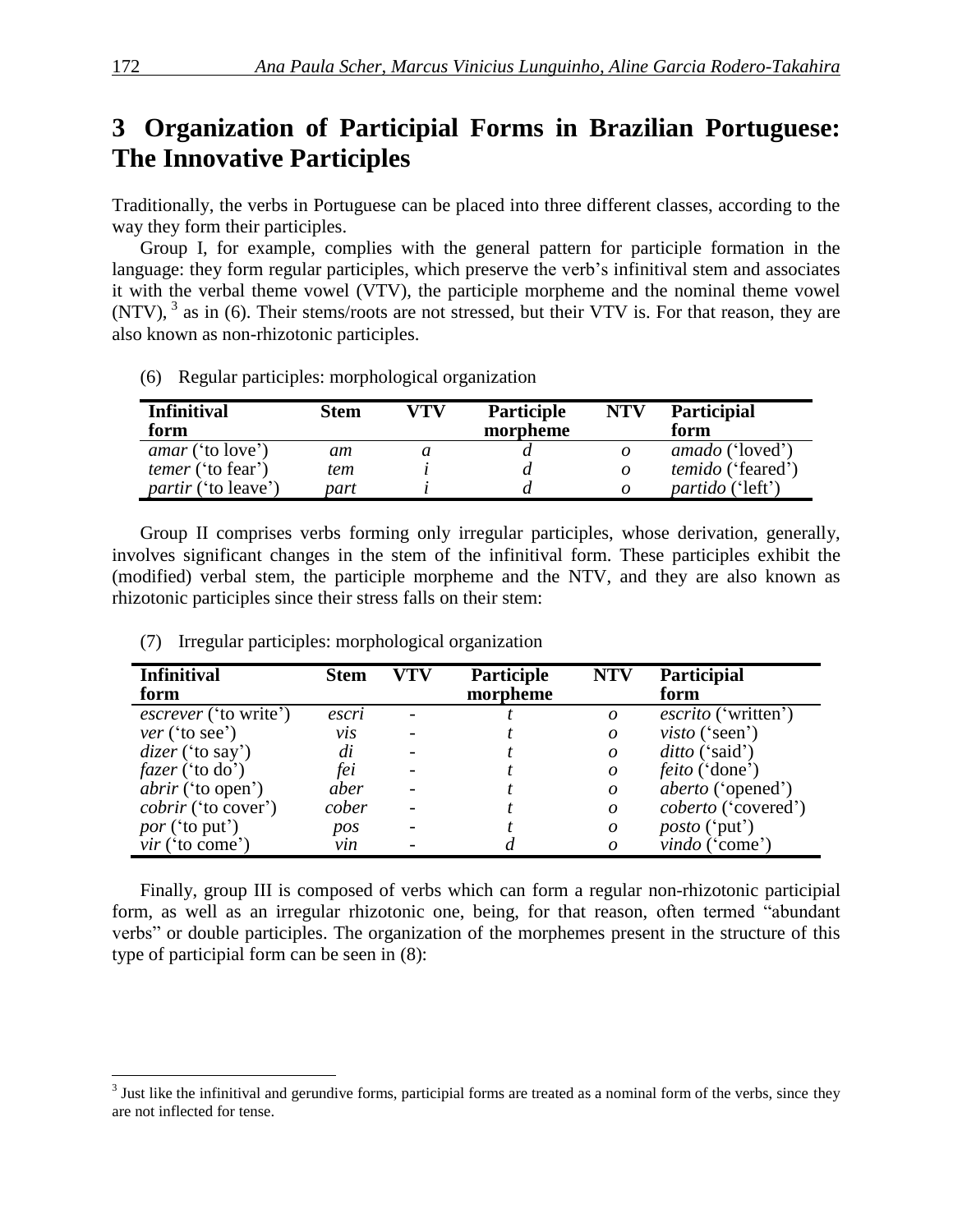# **3**xx**Organization of Participial Forms in Brazilian Portuguese: The Innovative Participles**

Traditionally, the verbs in Portuguese can be placed into three different classes, according to the way they form their participles.

Group I, for example, complies with the general pattern for participle formation in the language: they form regular participles, which preserve the verb's infinitival stem and associates it with the verbal theme vowel (VTV), the participle morpheme and the nominal theme vowel  $(NTV)$ ,  $3$  as in (6). Their stems/roots are not stressed, but their VTV is. For that reason, they are also known as non-rhizotonic participles.

(6) Regular participles: morphological organization

| <b>Infinitival</b><br>form | Stem | VTV | Participle<br>morpheme | <b>NTV</b> | <b>Participial</b><br>form |
|----------------------------|------|-----|------------------------|------------|----------------------------|
| <i>amar</i> ('to love')    | am   |     |                        | 0          | <i>amado</i> ('loved')     |
| <i>temer</i> ('to fear')   | tem  |     |                        | 0          | <i>temido</i> ('feared')   |
| <i>partir</i> ('to leave') | part |     |                        | 0          | <i>partido</i> ('left')    |

Group II comprises verbs forming only irregular participles, whose derivation, generally, involves significant changes in the stem of the infinitival form. These participles exhibit the (modified) verbal stem, the participle morpheme and the NTV, and they are also known as rhizotonic participles since their stress falls on their stem:

| <b>Infinitival</b><br>form   | <b>Stem</b> | VTV | <b>Participle</b><br>morpheme | <b>NTV</b>       | Participial<br>form        |
|------------------------------|-------------|-----|-------------------------------|------------------|----------------------------|
|                              |             |     |                               |                  |                            |
| <i>escrever</i> ('to write') | escri       |     |                               | $\boldsymbol{o}$ | <i>escrito</i> ('written') |
| ver('to see')                | vıs         |     |                               | $\boldsymbol{o}$ | $visto$ ('seen')           |
| $discer$ ('to say')          | di          |     |                               | $\Omega$         | <i>ditto</i> ('said')      |
| $fazer$ ('to do')            | fei         |     |                               | $\boldsymbol{o}$ | <i>feito</i> ('done')      |
| <i>abrir</i> ('to open')     | aber        |     |                               | $\boldsymbol{o}$ | <i>aberto</i> ('opened')   |
| <i>cobrir</i> ('to cover')   | cober       |     |                               | $\boldsymbol{o}$ | coberto ('covered')        |
| <i>por</i> ('to put')        | pos         |     |                               | $\boldsymbol{o}$ | <i>posto</i> ('put')       |
| $vir$ ('to come')            | vin         |     |                               | $\Omega$         | vindo('come')              |

(7) Irregular participles: morphological organization

Finally, group III is composed of verbs which can form a regular non-rhizotonic participial form, as well as an irregular rhizotonic one, being, for that reason, often termed "abundant verbs" or double participles. The organization of the morphemes present in the structure of this type of participial form can be seen in (8):

<sup>&</sup>lt;sup>3</sup> Just like the infinitival and gerundive forms, participial forms are treated as a nominal form of the verbs, since they are not inflected for tense.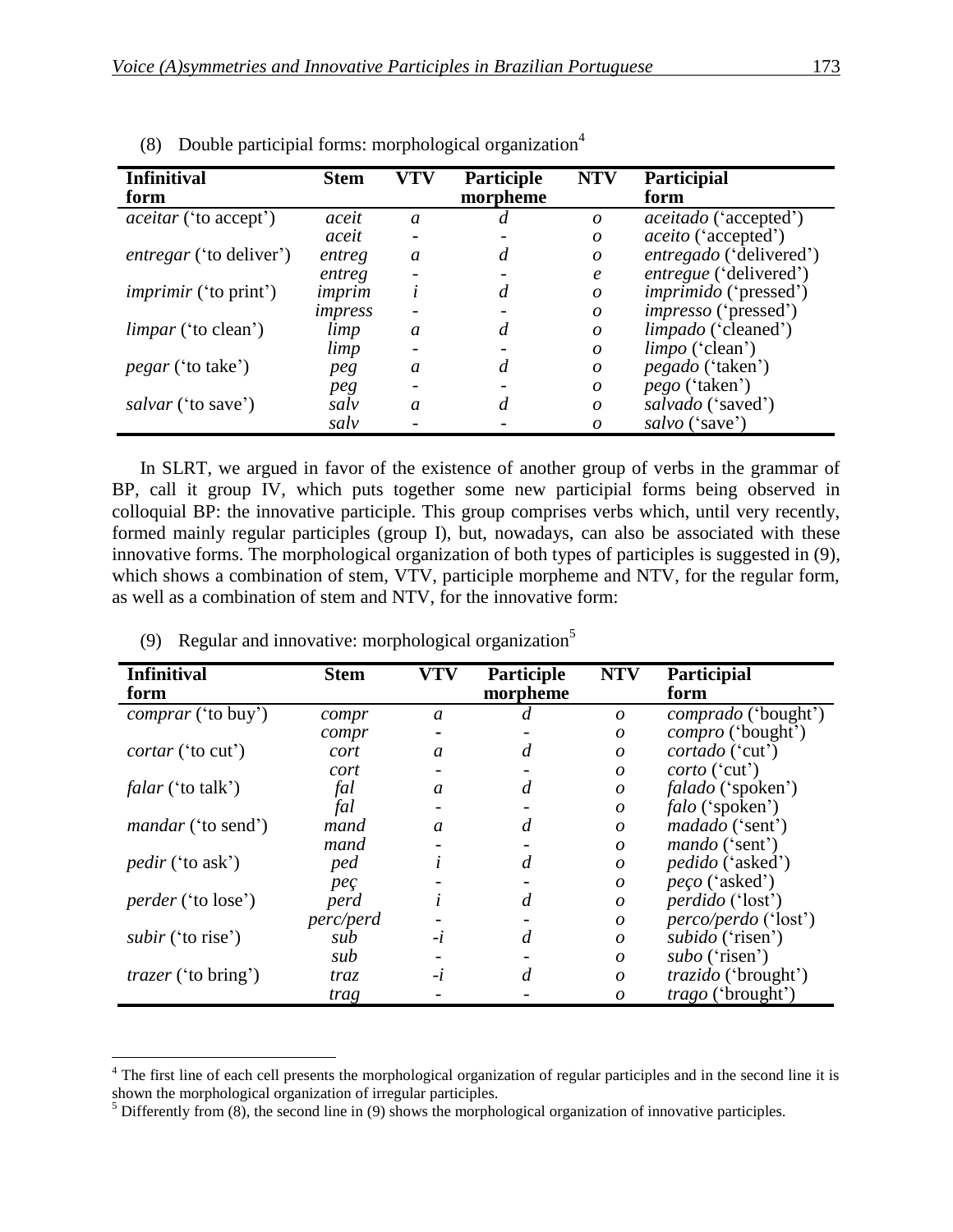| <b>Infinitival</b><br>form     | <b>Stem</b> | <b>VTV</b>    | Participle<br>morpheme | <b>NTV</b>       | Participial<br>form          |
|--------------------------------|-------------|---------------|------------------------|------------------|------------------------------|
| <i>aceitar</i> ('to accept')   | aceit       | $\mathfrak a$ | d                      | $\boldsymbol{o}$ | <i>aceitado</i> ('accepted') |
|                                | aceit       |               |                        | $\boldsymbol{o}$ | <i>aceito</i> ('accepted')   |
| <i>entregar</i> ('to deliver') | entreg      | a             | $\overline{d}$         | $\boldsymbol{o}$ | entregado ('delivered')      |
|                                | entreg      |               |                        | $\boldsymbol{e}$ | entregue ('delivered')       |
| <i>imprimir</i> ('to print')   | imprim      | l             | $\overline{d}$         | $\boldsymbol{o}$ | <i>imprimido</i> ('pressed') |
|                                | impress     |               |                        | $\overline{O}$   | <i>impresso</i> ('pressed')  |
| <i>limpar</i> ('to clean')     | limp        | a             | d                      | $\boldsymbol{o}$ | <i>limpado</i> ('cleaned')   |
|                                | limp        |               |                        | $\boldsymbol{o}$ | <i>limpo</i> ('clean')       |
| <i>pegar</i> ('to take')       | peg         | a             | d                      | $\boldsymbol{o}$ | <i>pegado</i> ('taken')      |
|                                | peg         |               |                        | $\boldsymbol{o}$ | <i>pego</i> ('taken')        |
| <i>salvar</i> ('to save')      | salv        | a             | d                      | $\boldsymbol{o}$ | salvado ('saved')            |
|                                | salv        |               |                        | $\theta$         | salvo ('save')               |

(8) Double participial forms: morphological organization<sup>4</sup>

In SLRT, we argued in favor of the existence of another group of verbs in the grammar of BP, call it group IV, which puts together some new participial forms being observed in colloquial BP: the innovative participle. This group comprises verbs which, until very recently, formed mainly regular participles (group I), but, nowadays, can also be associated with these innovative forms. The morphological organization of both types of participles is suggested in (9), which shows a combination of stem, VTV, participle morpheme and NTV, for the regular form, as well as a combination of stem and NTV, for the innovative form:

| <b>Infinitival</b>         | <b>Stem</b>      | <b>VTV</b>    | <b>Participle</b> | <b>NTV</b>       | Participial                 |
|----------------------------|------------------|---------------|-------------------|------------------|-----------------------------|
| form                       |                  |               | morpheme          |                  | form                        |
| <i>comprar</i> ('to buy')  | compr            | $\mathfrak a$ |                   | $\boldsymbol{o}$ | <i>comprado</i> ('bought')  |
|                            | compr            |               |                   | $\boldsymbol{o}$ | <i>compro</i> ('bought')    |
| <i>cortar</i> ('to cut')   | cort             | a             | d                 | $\boldsymbol{o}$ | <i>cortado</i> ('cut')      |
|                            | cort             |               |                   | $\boldsymbol{o}$ | <i>corto</i> ('cut')        |
| <i>falar</i> ('to talk')   | fal              | $\mathfrak a$ | $\overline{d}$    | $\boldsymbol{o}$ | <i>falado</i> ('spoken')    |
|                            | fal              |               |                   | $\boldsymbol{o}$ | <i>falo</i> ('spoken')      |
| <i>mandar</i> ('to send')  | mand             | $\mathfrak a$ | $\overline{d}$    | $\boldsymbol{o}$ | <i>madado</i> ('sent')      |
|                            | mand             |               |                   | $\boldsymbol{o}$ | <i>mando</i> ('sent')       |
| <i>pedir</i> ('to ask')    | ped              |               | $\overline{d}$    | $\boldsymbol{o}$ | <i>pedido</i> ('asked')     |
|                            | pec              |               |                   | $\boldsymbol{o}$ | <i>peço</i> ('asked')       |
| <i>perder</i> ('to lose')  | perd             |               | $\overline{d}$    | $\boldsymbol{o}$ | <i>perdido</i> ('lost')     |
|                            | <i>perc/perd</i> |               |                   | $\boldsymbol{o}$ | <i>perco/perdo</i> ('lost') |
| <i>subir</i> ('to rise')   | sub              | $-l$          | $\overline{d}$    | $\boldsymbol{o}$ | subido ('risen')            |
|                            | sub              |               |                   | $\boldsymbol{o}$ | $subo$ ('risen')            |
| <i>trazer</i> ('to bring') | traz             | $-l$          | $\overline{d}$    | $\overline{O}$   | <i>trazido</i> ('brought')  |
|                            | trag             |               |                   | 0                | <i>trago</i> ('brought')    |

(9) Regular and innovative: morphological organization<sup>5</sup>

<sup>&</sup>lt;sup>4</sup> The first line of each cell presents the morphological organization of regular participles and in the second line it is shown the morphological organization of irregular participles.

 $<sup>5</sup>$  Differently from (8), the second line in (9) shows the morphological organization of innovative participles.</sup>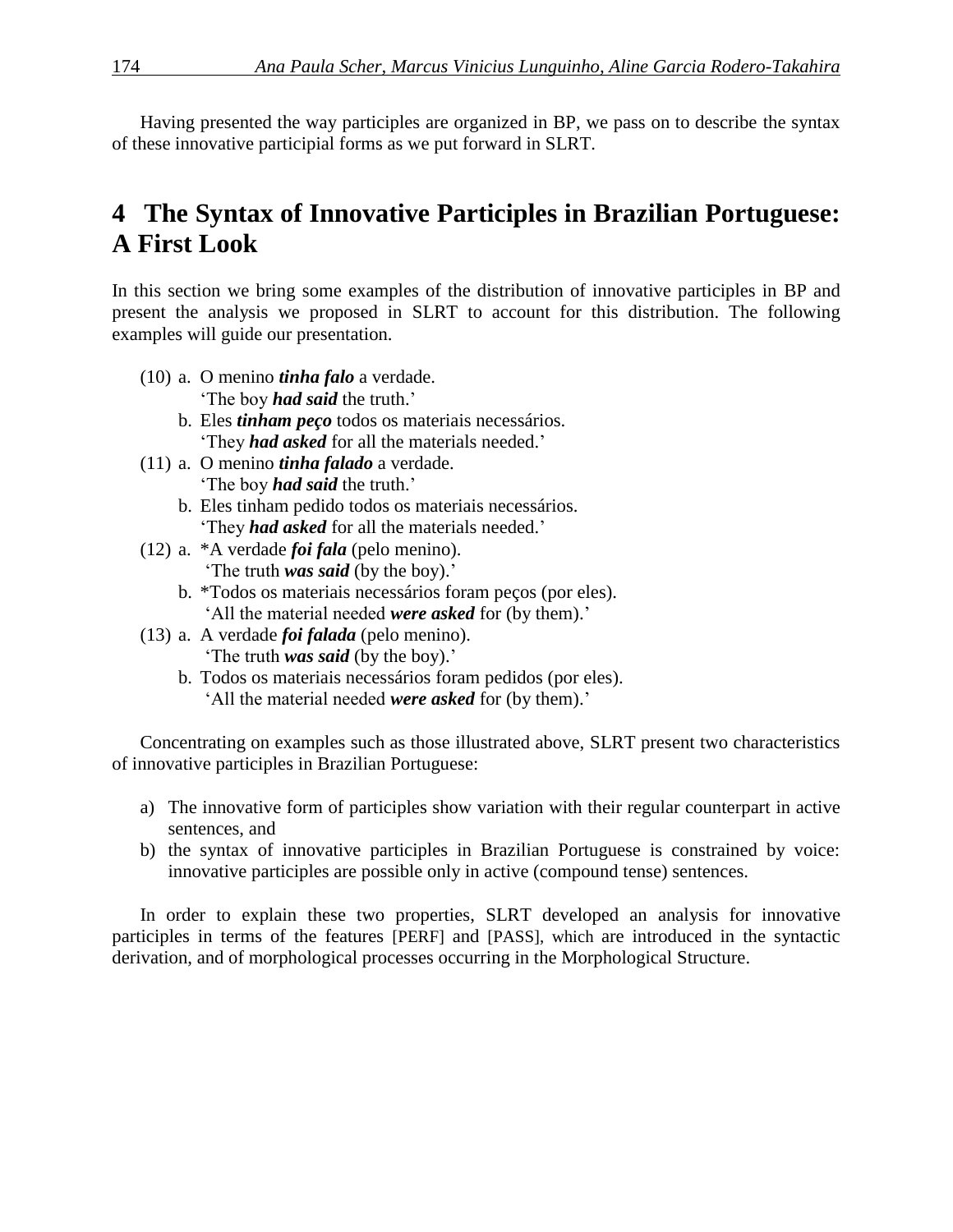Having presented the way participles are organized in BP, we pass on to describe the syntax of these innovative participial forms as we put forward in SLRT.

# **4** The Syntax of Innovative Participles in Brazilian Portuguese: **A First Look**

In this section we bring some examples of the distribution of innovative participles in BP and present the analysis we proposed in SLRT to account for this distribution. The following examples will guide our presentation.

- (10) a. O menino *tinha falo* a verdade. 'The boy *had said* the truth.'
	- b. Eles *tinham peço* todos os materiais necessários. 'They *had asked* for all the materials needed.'
- (11) a. O menino *tinha falado* a verdade. 'The boy *had said* the truth.'
	- b. Eles tinham pedido todos os materiais necessários. 'They *had asked* for all the materials needed.'
- (12) a. \*A verdade *foi fala* (pelo menino). 'The truth *was said* (by the boy).'
	- b. \*Todos os materiais necessários foram peços (por eles). 'All the material needed *were asked* for (by them).'
- (13) a. A verdade *foi falada* (pelo menino). 'The truth *was said* (by the boy).'
	- b. Todos os materiais necessários foram pedidos (por eles). 'All the material needed *were asked* for (by them).'

Concentrating on examples such as those illustrated above, SLRT present two characteristics of innovative participles in Brazilian Portuguese:

- a) The innovative form of participles show variation with their regular counterpart in active sentences, and
- b) the syntax of innovative participles in Brazilian Portuguese is constrained by voice: innovative participles are possible only in active (compound tense) sentences.

In order to explain these two properties, SLRT developed an analysis for innovative participles in terms of the features [PERF] and [PASS], which are introduced in the syntactic derivation, and of morphological processes occurring in the Morphological Structure.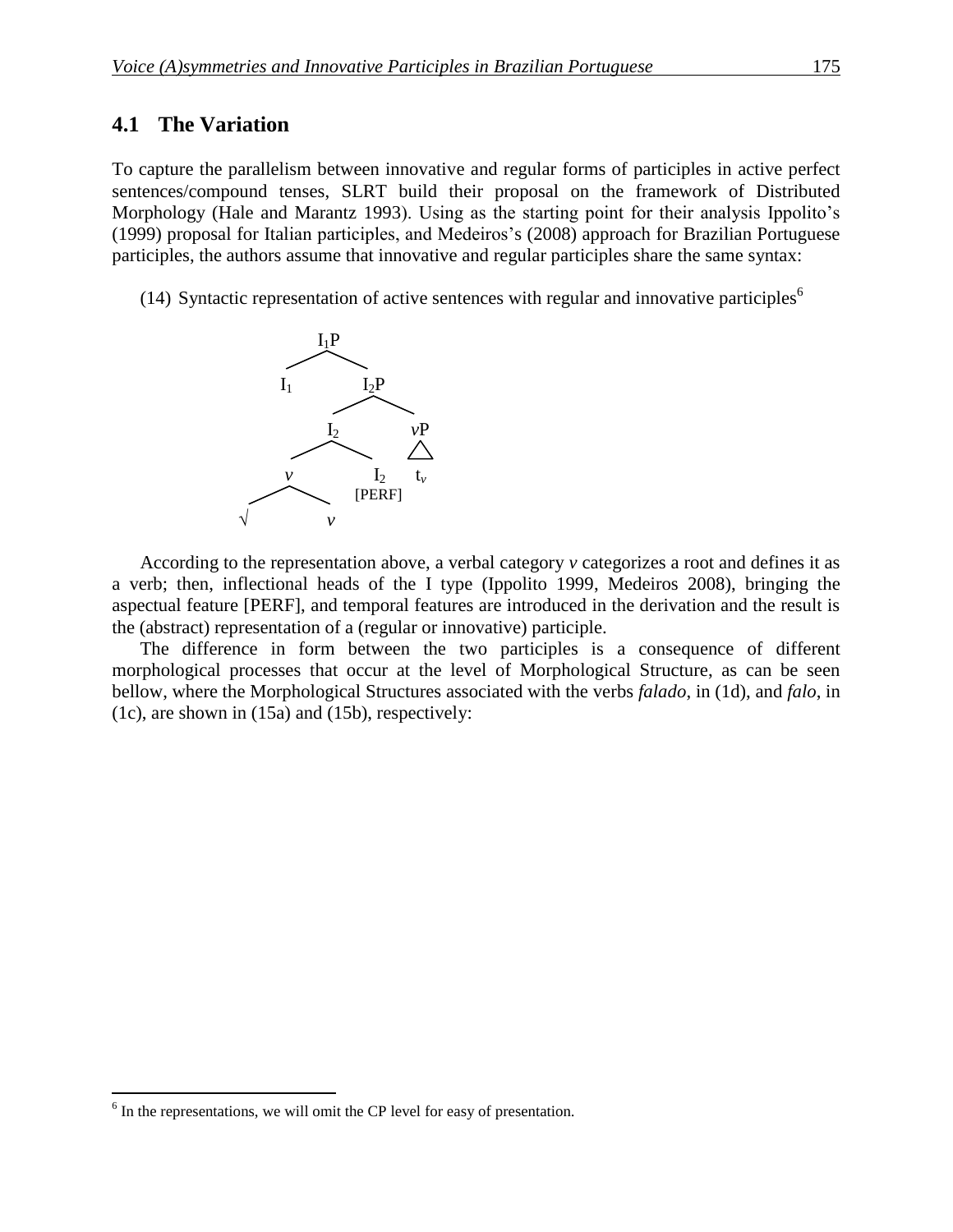### **4.1 The Variation**

To capture the parallelism between innovative and regular forms of participles in active perfect sentences/compound tenses, SLRT build their proposal on the framework of Distributed Morphology (Hale and Marantz 1993). Using as the starting point for their analysis Ippolito's (1999) proposal for Italian participles, and Medeiros's (2008) approach for Brazilian Portuguese participles, the authors assume that innovative and regular participles share the same syntax:

(14) Syntactic representation of active sentences with regular and innovative participles<sup>6</sup>



According to the representation above, a verbal category *v* categorizes a root and defines it as a verb; then, inflectional heads of the I type (Ippolito 1999, Medeiros 2008), bringing the aspectual feature [PERF], and temporal features are introduced in the derivation and the result is the (abstract) representation of a (regular or innovative) participle.

The difference in form between the two participles is a consequence of different morphological processes that occur at the level of Morphological Structure, as can be seen bellow, where the Morphological Structures associated with the verbs *falado*, in (1d), and *falo*, in (1c), are shown in (15a) and (15b), respectively:

 $6$  In the representations, we will omit the CP level for easy of presentation.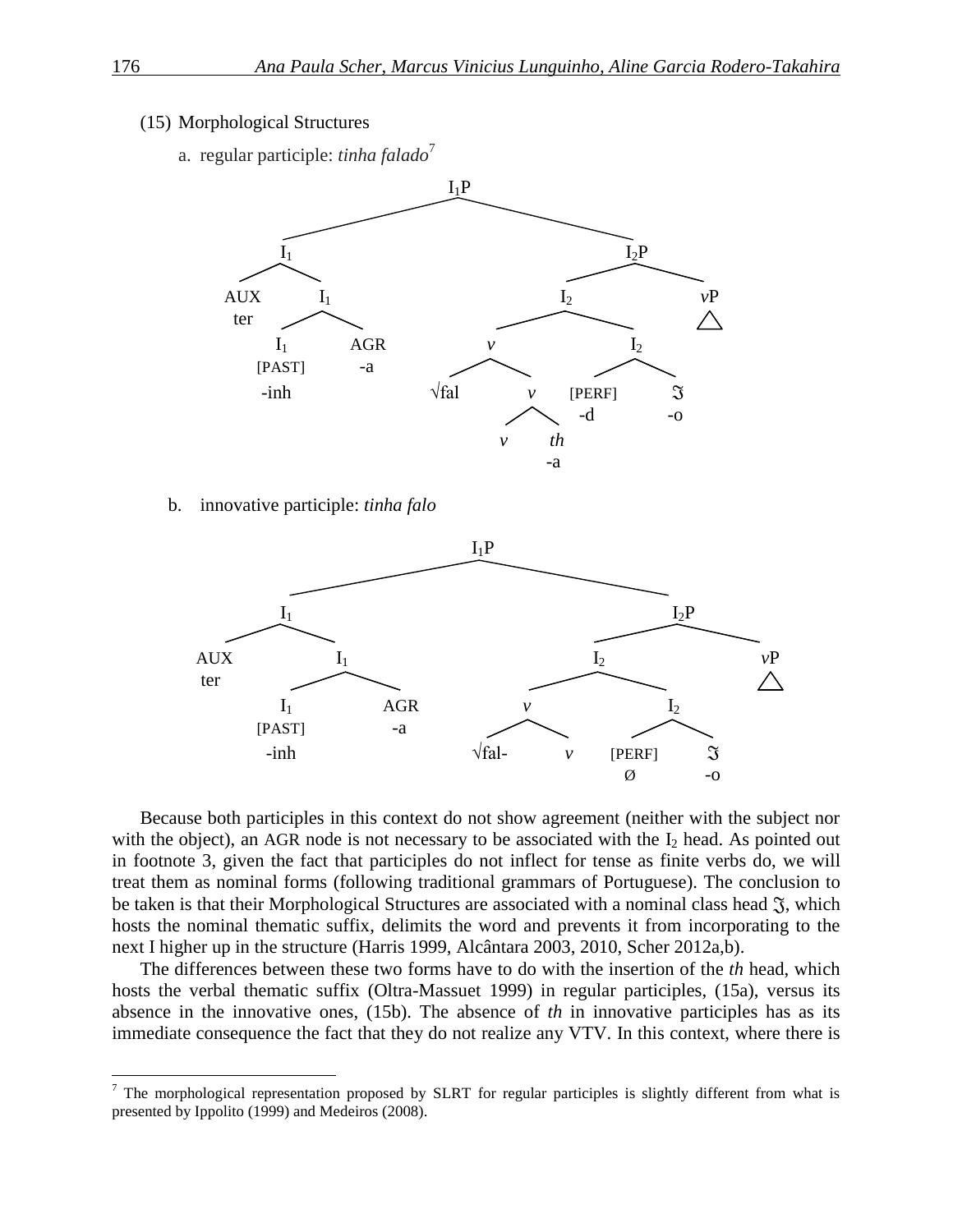#### (15) Morphological Structures

a. regular participle: *tinha falado*<sup>7</sup>



#### b. innovative participle: *tinha falo*



Because both participles in this context do not show agreement (neither with the subject nor with the object), an AGR node is not necessary to be associated with the  $I_2$  head. As pointed out in footnote 3, given the fact that participles do not inflect for tense as finite verbs do, we will treat them as nominal forms (following traditional grammars of Portuguese). The conclusion to be taken is that their Morphological Structures are associated with a nominal class head  $\mathfrak{F}$ , which hosts the nominal thematic suffix, delimits the word and prevents it from incorporating to the next I higher up in the structure (Harris 1999, Alcântara 2003, 2010, Scher 2012a,b).

The differences between these two forms have to do with the insertion of the *th* head, which hosts the verbal thematic suffix (Oltra-Massuet 1999) in regular participles, (15a), versus its absence in the innovative ones, (15b). The absence of *th* in innovative participles has as its immediate consequence the fact that they do not realize any VTV. In this context, where there is

 $7$  The morphological representation proposed by SLRT for regular participles is slightly different from what is presented by Ippolito (1999) and Medeiros (2008).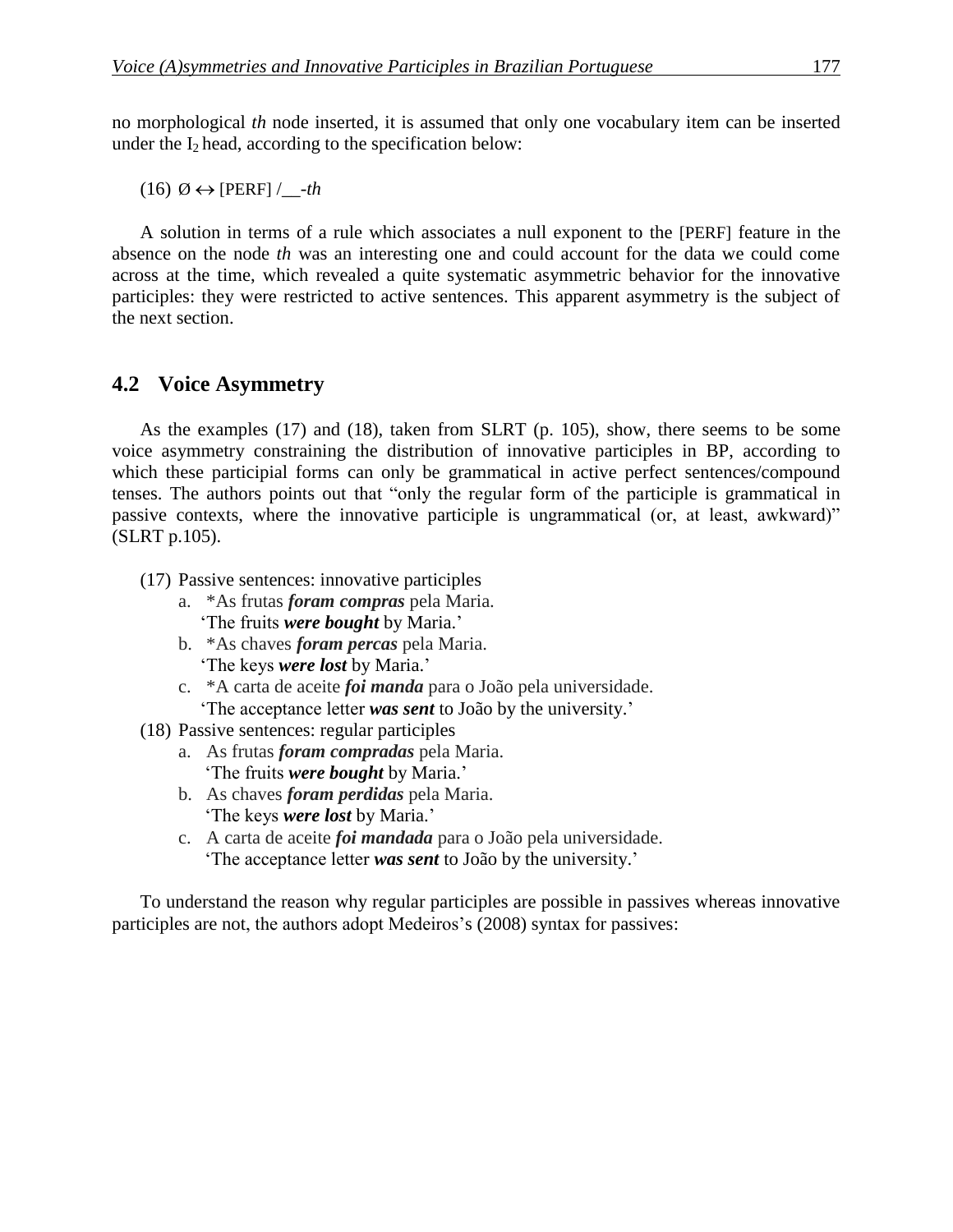no morphological *th* node inserted, it is assumed that only one vocabulary item can be inserted under the  $I_2$  head, according to the specification below:

 $(16)$   $\emptyset \leftrightarrow$  [PERF] /\_\_-*th* 

A solution in terms of a rule which associates a null exponent to the [PERF] feature in the absence on the node *th* was an interesting one and could account for the data we could come across at the time, which revealed a quite systematic asymmetric behavior for the innovative participles: they were restricted to active sentences. This apparent asymmetry is the subject of the next section.

### **4.2** Voice Asymmetry

As the examples (17) and (18), taken from SLRT (p. 105), show, there seems to be some voice asymmetry constraining the distribution of innovative participles in BP, according to which these participial forms can only be grammatical in active perfect sentences/compound tenses. The authors points out that "only the regular form of the participle is grammatical in passive contexts, where the innovative participle is ungrammatical (or, at least, awkward)" (SLRT p.105).

- (17) Passive sentences: innovative participles
	- a. \*As frutas *foram compras* pela Maria. 'The fruits *were bought* by Maria.'
	- b. \*As chaves *foram percas* pela Maria. 'The keys *were lost* by Maria.'
	- c. \*A carta de aceite *foi manda* para o João pela universidade.

'The acceptance letter *was sent* to João by the university.'

- (18) Passive sentences: regular participles
	- a. As frutas *foram compradas* pela Maria. 'The fruits *were bought* by Maria.'
	- b. As chaves *foram perdidas* pela Maria. 'The keys *were lost* by Maria.'
	- c. A carta de aceite *foi mandada* para o João pela universidade. 'The acceptance letter *was sent* to João by the university.'

To understand the reason why regular participles are possible in passives whereas innovative participles are not, the authors adopt Medeiros's (2008) syntax for passives: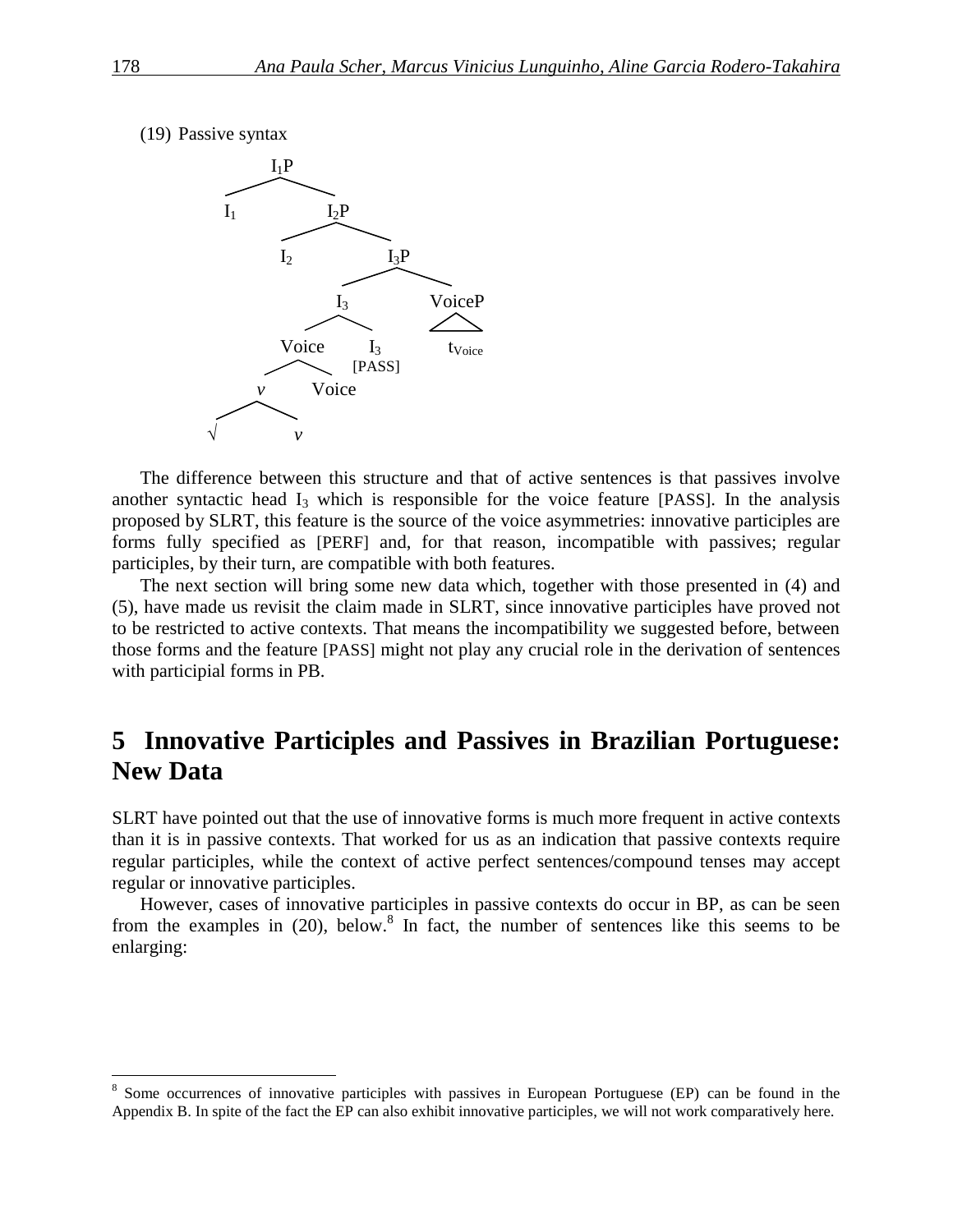



The difference between this structure and that of active sentences is that passives involve another syntactic head  $I_3$  which is responsible for the voice feature [PASS]. In the analysis proposed by SLRT, this feature is the source of the voice asymmetries: innovative participles are forms fully specified as [PERF] and, for that reason, incompatible with passives; regular participles, by their turn, are compatible with both features.

The next section will bring some new data which, together with those presented in (4) and (5), have made us revisit the claim made in SLRT, since innovative participles have proved not to be restricted to active contexts. That means the incompatibility we suggested before, between those forms and the feature [PASS] might not play any crucial role in the derivation of sentences with participial forms in PB.

# **5** Innovative Participles and Passives in Brazilian Portuguese: **New Data**

SLRT have pointed out that the use of innovative forms is much more frequent in active contexts than it is in passive contexts. That worked for us as an indication that passive contexts require regular participles, while the context of active perfect sentences/compound tenses may accept regular or innovative participles.

However, cases of innovative participles in passive contexts do occur in BP, as can be seen from the examples in  $(20)$ , below.<sup>8</sup> In fact, the number of sentences like this seems to be enlarging:

<sup>&</sup>lt;sup>8</sup> Some occurrences of innovative participles with passives in European Portuguese (EP) can be found in the Appendix B. In spite of the fact the EP can also exhibit innovative participles, we will not work comparatively here.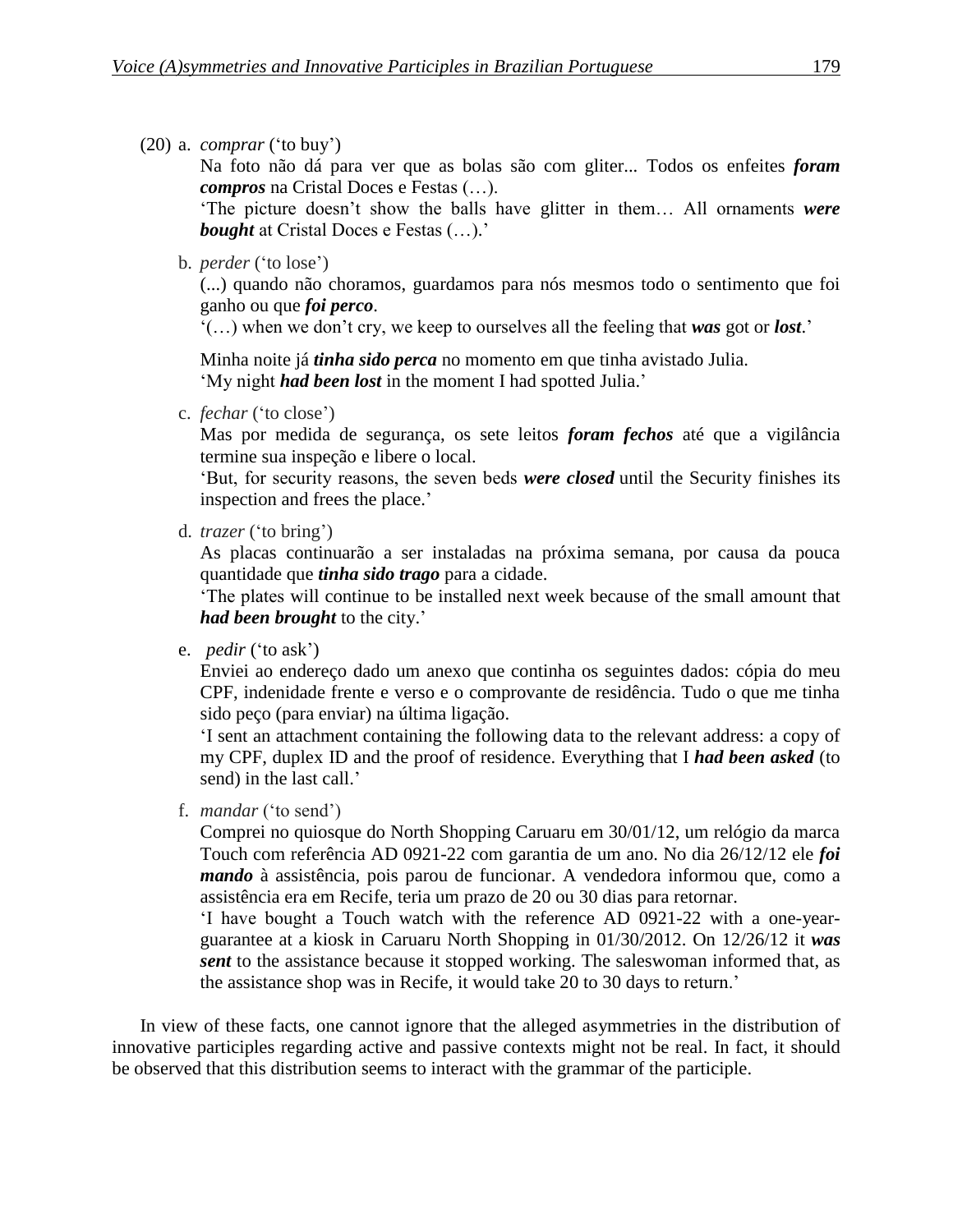(20) a. *comprar* ('to buy')

Na foto não dá para ver que as bolas são com gliter... Todos os enfeites *foram compros* na Cristal Doces e Festas (…).

'The picture doesn't show the balls have glitter in them… All ornaments *were bought* at Cristal Doces e Festas (…).'

b. *perder* ('to lose')

(...) quando não choramos, guardamos para nós mesmos todo o sentimento que foi ganho ou que *foi perco*.

'(…) when we don't cry, we keep to ourselves all the feeling that *was* got or *lost*.'

Minha noite já *tinha sido perca* no momento em que tinha avistado Julia. 'My night *had been lost* in the moment I had spotted Julia.'

c. *fechar* ('to close')

Mas por medida de segurança, os sete leitos *foram fechos* até que a vigilância termine sua inspeção e libere o local.

'But, for security reasons, the seven beds *were closed* until the Security finishes its inspection and frees the place.'

d. *trazer* ('to bring')

As placas continuarão a ser instaladas na próxima semana, por causa da pouca quantidade que *tinha sido trago* para a cidade.

'The plates will continue to be installed next week because of the small amount that *had been brought* to the city.'

e. *pedir* ('to ask')

Enviei ao endereço dado um anexo que continha os seguintes dados: cópia do meu CPF, indenidade frente e verso e o comprovante de residência. Tudo o que me tinha sido peço (para enviar) na última ligação.

'I sent an attachment containing the following data to the relevant address: a copy of my CPF, duplex ID and the proof of residence. Everything that I *had been asked* (to send) in the last call.'

f. *mandar* ('to send')

Comprei no quiosque do North Shopping Caruaru em 30/01/12, um relógio da marca Touch com referência AD 0921-22 com garantia de um ano. No dia 26/12/12 ele *foi mando* à assistência, pois parou de funcionar. A vendedora informou que, como a assistência era em Recife, teria um prazo de 20 ou 30 dias para retornar.

'I have bought a Touch watch with the reference AD 0921-22 with a one-yearguarantee at a kiosk in Caruaru North Shopping in 01/30/2012. On 12/26/12 it *was sent* to the assistance because it stopped working. The saleswoman informed that, as the assistance shop was in Recife, it would take 20 to 30 days to return.'

In view of these facts, one cannot ignore that the alleged asymmetries in the distribution of innovative participles regarding active and passive contexts might not be real. In fact, it should be observed that this distribution seems to interact with the grammar of the participle.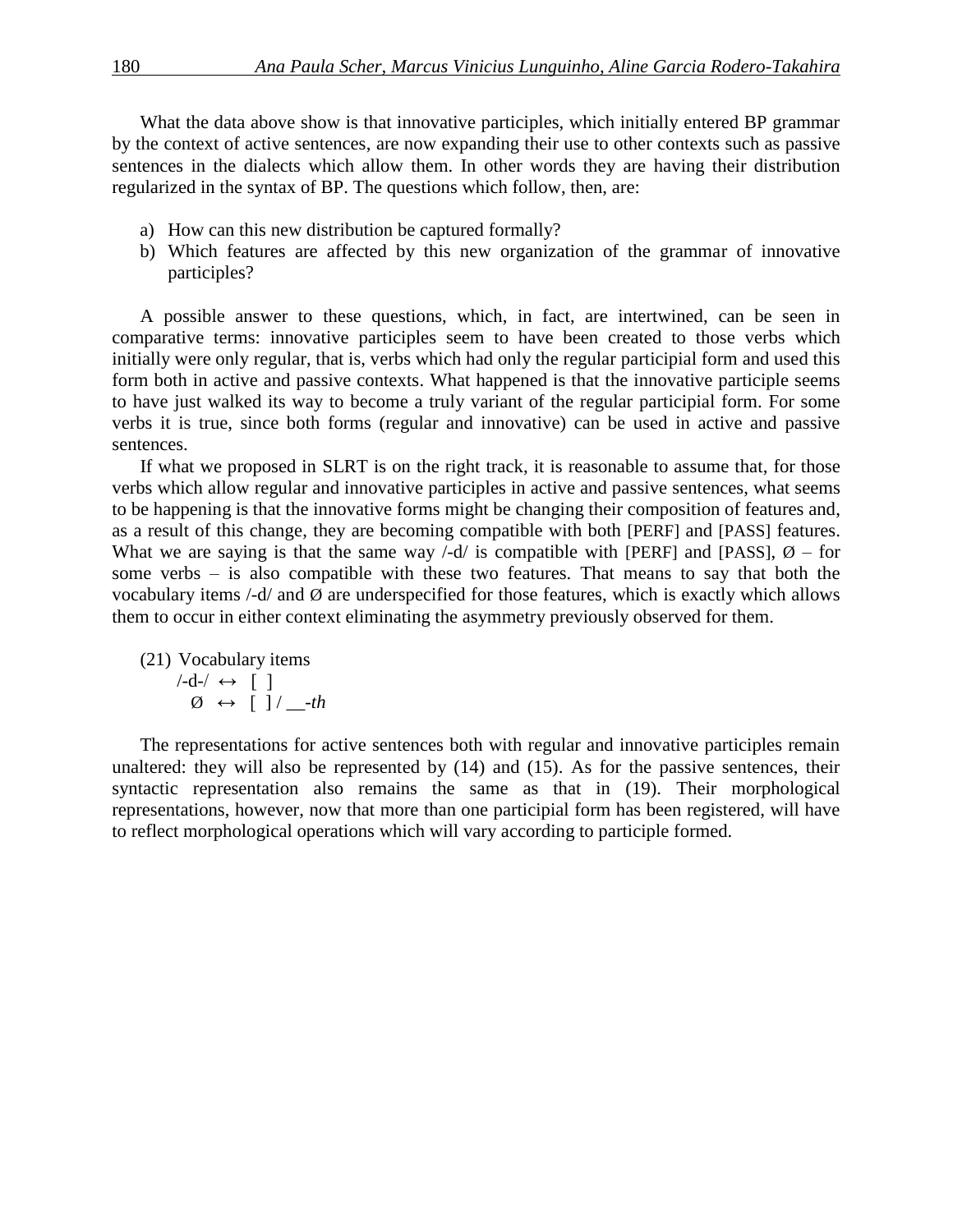What the data above show is that innovative participles, which initially entered BP grammar by the context of active sentences, are now expanding their use to other contexts such as passive sentences in the dialects which allow them. In other words they are having their distribution regularized in the syntax of BP. The questions which follow, then, are:

- a) How can this new distribution be captured formally?
- b) Which features are affected by this new organization of the grammar of innovative participles?

A possible answer to these questions, which, in fact, are intertwined, can be seen in comparative terms: innovative participles seem to have been created to those verbs which initially were only regular, that is, verbs which had only the regular participial form and used this form both in active and passive contexts. What happened is that the innovative participle seems to have just walked its way to become a truly variant of the regular participial form. For some verbs it is true, since both forms (regular and innovative) can be used in active and passive sentences.

If what we proposed in SLRT is on the right track, it is reasonable to assume that, for those verbs which allow regular and innovative participles in active and passive sentences, what seems to be happening is that the innovative forms might be changing their composition of features and, as a result of this change, they are becoming compatible with both [PERF] and [PASS] features. What we are saying is that the same way  $\frac{\overline{d}}{d}$  is compatible with [PERF] and [PASS],  $\varnothing$  – for some verbs – is also compatible with these two features. That means to say that both the vocabulary items  $\frac{1}{d}$  and  $\emptyset$  are underspecified for those features, which is exactly which allows them to occur in either context eliminating the asymmetry previously observed for them.

(21) Vocabulary items  $/-d-/ \leftrightarrow$  [ ]  $\emptyset \leftrightarrow [\ ]/\ ]$ -th

The representations for active sentences both with regular and innovative participles remain unaltered: they will also be represented by (14) and (15). As for the passive sentences, their syntactic representation also remains the same as that in (19). Their morphological representations, however, now that more than one participial form has been registered, will have to reflect morphological operations which will vary according to participle formed.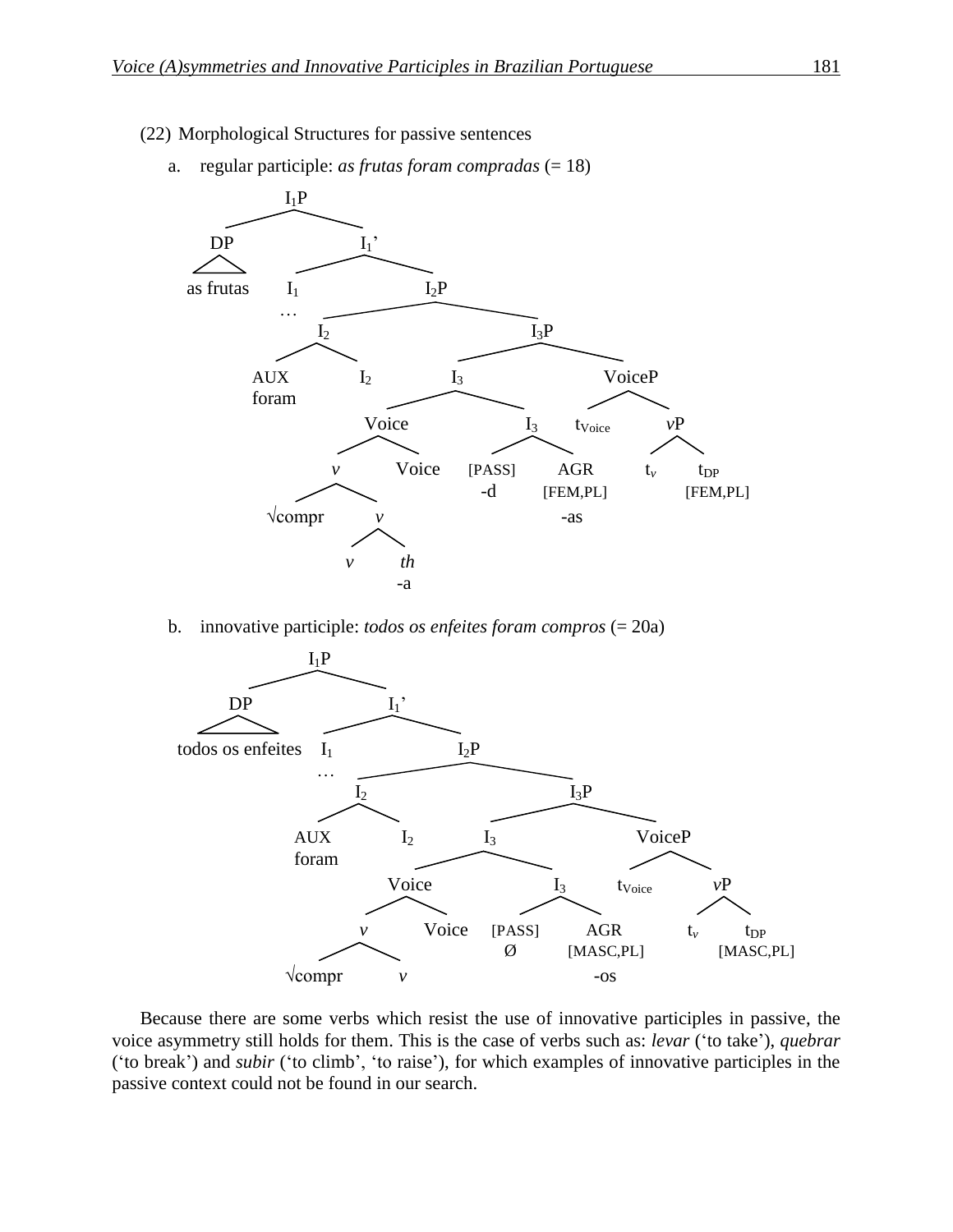(22) Morphological Structures for passive sentences



a. regular participle: *as frutas foram compradas* (= 18)

b. innovative participle: *todos os enfeites foram compros* (= 20a)



Because there are some verbs which resist the use of innovative participles in passive, the voice asymmetry still holds for them. This is the case of verbs such as: *levar* ('to take'), *quebrar* ('to break') and *subir* ('to climb', 'to raise'), for which examples of innovative participles in the passive context could not be found in our search.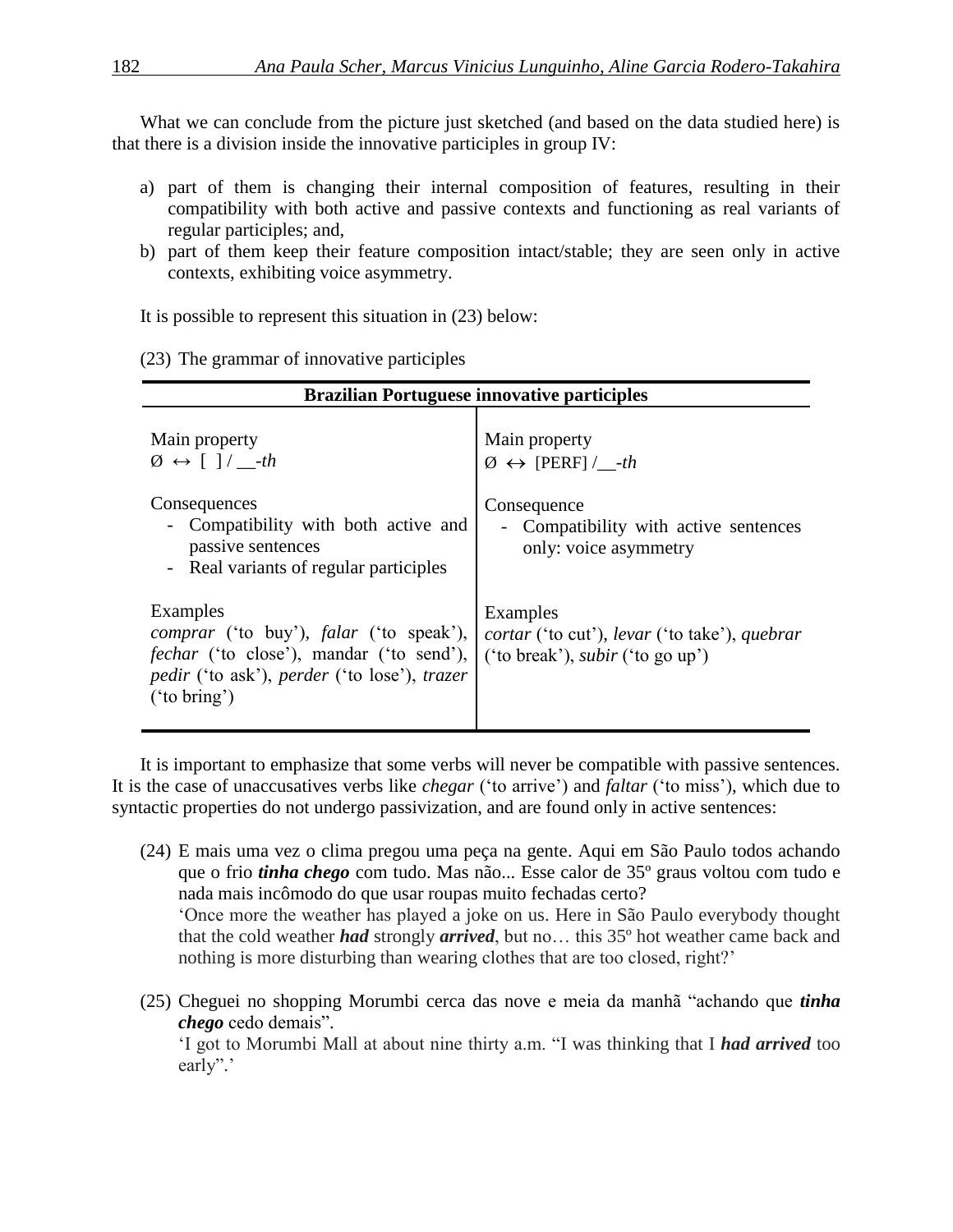What we can conclude from the picture just sketched (and based on the data studied here) is that there is a division inside the innovative participles in group IV:

- a) part of them is changing their internal composition of features, resulting in their compatibility with both active and passive contexts and functioning as real variants of regular participles; and,
- b) part of them keep their feature composition intact/stable; they are seen only in active contexts, exhibiting voice asymmetry.

It is possible to represent this situation in (23) below:

(23) The grammar of innovative participles

| <b>Brazilian Portuguese innovative participles</b>                                                                                                                                                        |                                                                                                      |  |  |  |
|-----------------------------------------------------------------------------------------------------------------------------------------------------------------------------------------------------------|------------------------------------------------------------------------------------------------------|--|--|--|
| Main property<br>$\emptyset \leftrightarrow [\ ]/ \_$ -th                                                                                                                                                 | Main property<br>$\emptyset \leftrightarrow$ [PERF] / -th                                            |  |  |  |
| Consequences<br>- Compatibility with both active and<br>passive sentences<br>- Real variants of regular participles                                                                                       | Consequence<br>- Compatibility with active sentences<br>only: voice asymmetry                        |  |  |  |
| Examples<br><i>comprar</i> ('to buy'), <i>falar</i> ('to speak'),<br><i>fechar</i> ('to close'), mandar ('to send'),<br><i>pedir</i> ('to ask'), <i>perder</i> ('to lose'), <i>trazer</i><br>('to bring') | Examples<br>cortar ('to cut'), levar ('to take'), quebrar<br>('to break'), <i>subir</i> ('to go up') |  |  |  |

It is important to emphasize that some verbs will never be compatible with passive sentences. It is the case of unaccusatives verbs like *chegar* ('to arrive') and *faltar* ('to miss'), which due to syntactic properties do not undergo passivization, and are found only in active sentences:

- (24) E mais uma vez o clima pregou uma peça na gente. Aqui em São Paulo todos achando que o frio *tinha chego* com tudo. Mas não... Esse calor de 35º graus voltou com tudo e nada mais incômodo do que usar roupas muito fechadas certo? 'Once more the weather has played a joke on us. Here in São Paulo everybody thought that the cold weather *had* strongly *arrived*, but no… this 35º hot weather came back and nothing is more disturbing than wearing clothes that are too closed, right?'
- (25) Cheguei no shopping Morumbi cerca das nove e meia da manhã "achando que *tinha chego* cedo demais". 'I got to Morumbi Mall at about nine thirty a.m. "I was thinking that I *had arrived* too

early".'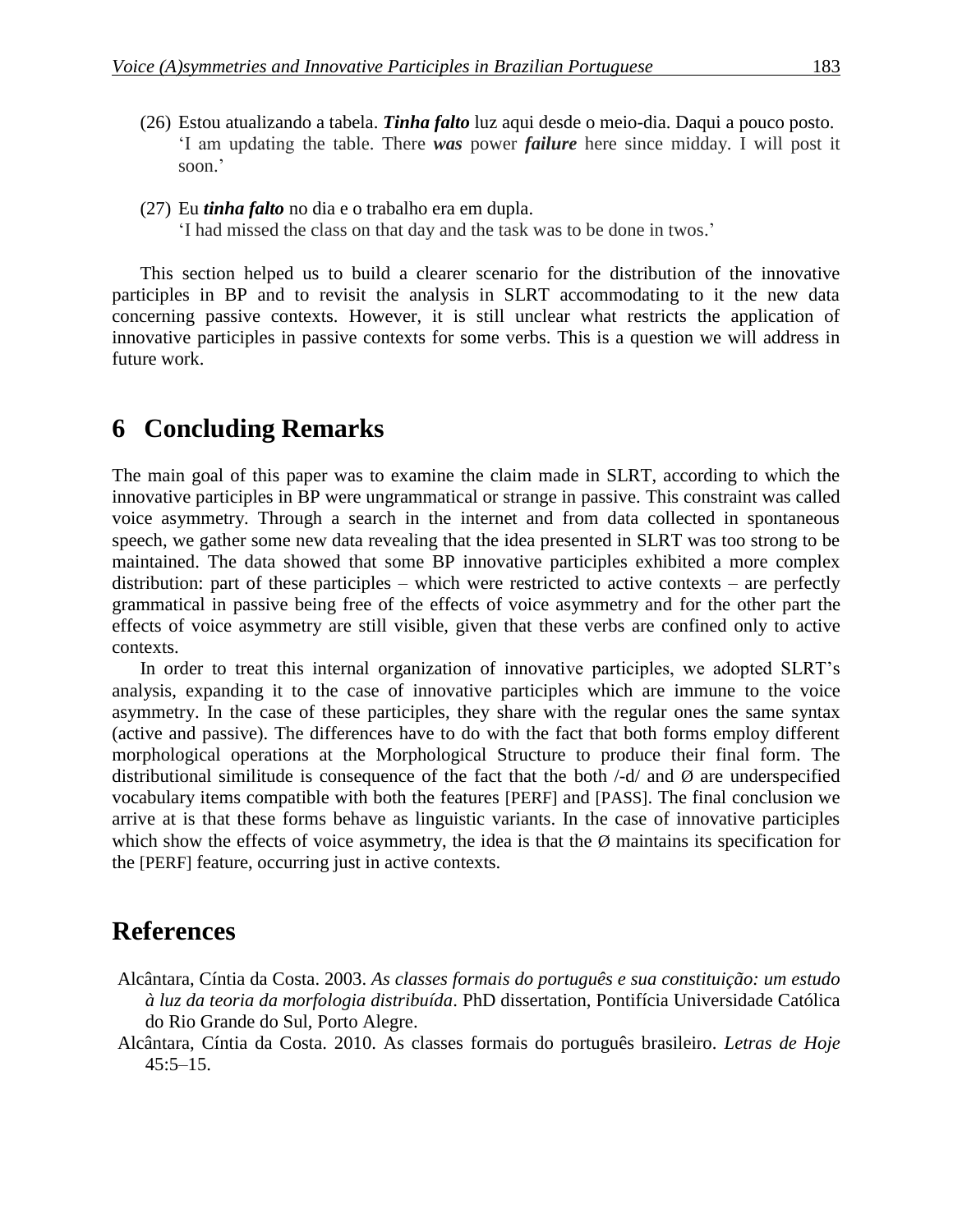- (26) Estou atualizando a tabela. *Tinha falto* luz aqui desde o meio-dia. Daqui a pouco posto. 'I am updating the table. There *was* power *failure* here since midday. I will post it soon.'
- (27) Eu *tinha falto* no dia e o trabalho era em dupla.

'I had missed the class on that day and the task was to be done in twos.'

This section helped us to build a clearer scenario for the distribution of the innovative participles in BP and to revisit the analysis in SLRT accommodating to it the new data concerning passive contexts. However, it is still unclear what restricts the application of innovative participles in passive contexts for some verbs. This is a question we will address in future work.

## **6** Concluding Remarks

The main goal of this paper was to examine the claim made in SLRT, according to which the innovative participles in BP were ungrammatical or strange in passive. This constraint was called voice asymmetry. Through a search in the internet and from data collected in spontaneous speech, we gather some new data revealing that the idea presented in SLRT was too strong to be maintained. The data showed that some BP innovative participles exhibited a more complex distribution: part of these participles – which were restricted to active contexts – are perfectly grammatical in passive being free of the effects of voice asymmetry and for the other part the effects of voice asymmetry are still visible, given that these verbs are confined only to active contexts.

In order to treat this internal organization of innovative participles, we adopted SLRT's analysis, expanding it to the case of innovative participles which are immune to the voice asymmetry. In the case of these participles, they share with the regular ones the same syntax (active and passive). The differences have to do with the fact that both forms employ different morphological operations at the Morphological Structure to produce their final form. The distributional similitude is consequence of the fact that the both  $\frac{1}{d}$  and  $\emptyset$  are underspecified vocabulary items compatible with both the features [PERF] and [PASS]. The final conclusion we arrive at is that these forms behave as linguistic variants. In the case of innovative participles which show the effects of voice asymmetry, the idea is that the  $\emptyset$  maintains its specification for the [PERF] feature, occurring just in active contexts.

### **References**

- Alcântara, Cíntia da Costa. 2003. *As classes formais do português e sua constituição: um estudo à luz da teoria da morfologia distribuída*. PhD dissertation, Pontifícia Universidade Católica do Rio Grande do Sul, Porto Alegre.
- Alcântara, Cíntia da Costa. 2010. As classes formais do português brasileiro. *Letras de Hoje*   $45:5 - 15$ .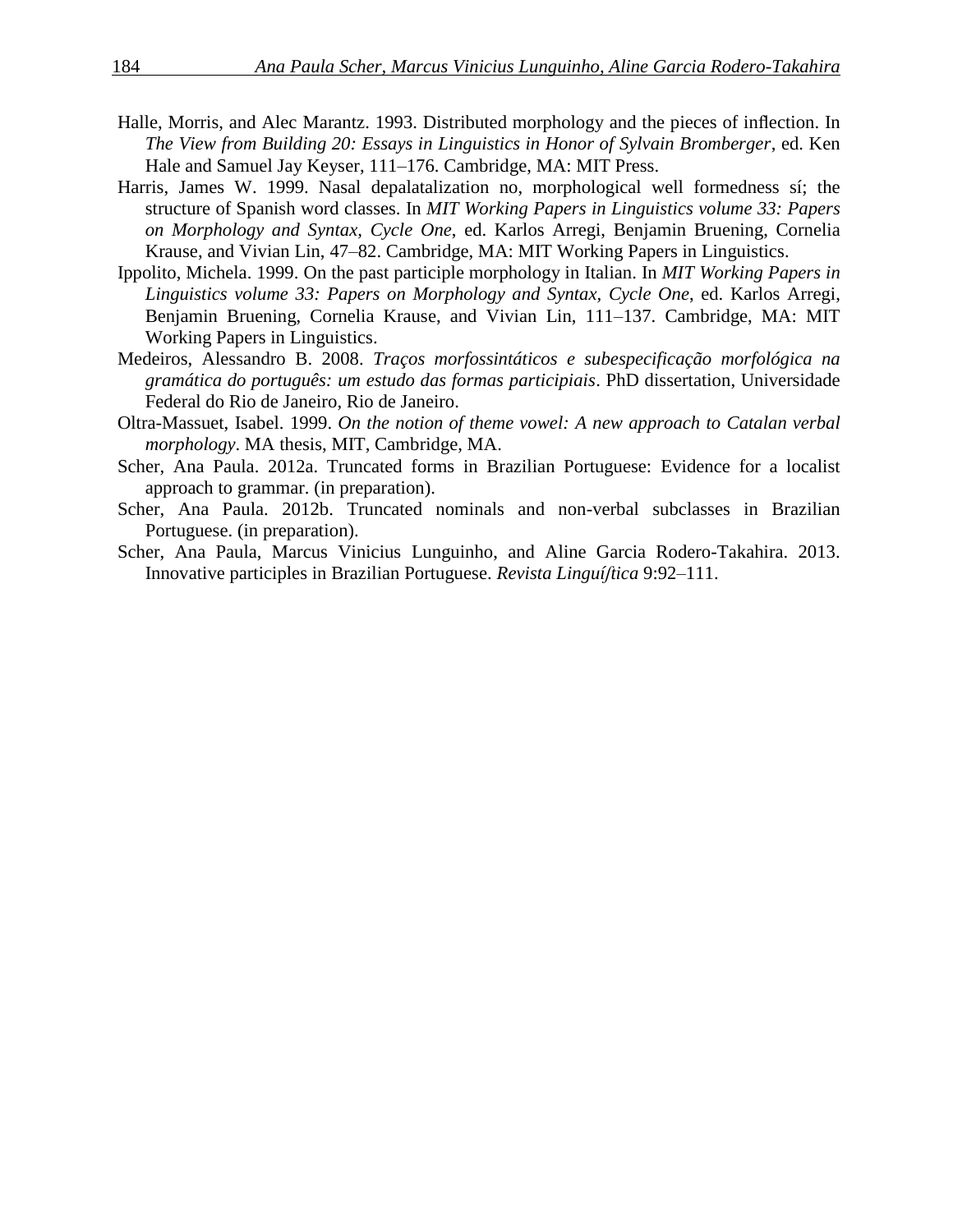- Halle, Morris, and Alec Marantz. 1993. Distributed morphology and the pieces of inflection. In *The View from Building 20: Essays in Linguistics in Honor of Sylvain Bromberger*, ed. Ken Hale and Samuel Jay Keyser, 111–176. Cambridge, MA: MIT Press.
- Harris, James W. 1999. Nasal depalatalization no, morphological well formedness sí; the structure of Spanish word classes. In *MIT Working Papers in Linguistics volume 33: Papers on Morphology and Syntax, Cycle One*, ed. Karlos Arregi, Benjamin Bruening, Cornelia Krause, and Vivian Lin, 47–82. Cambridge, MA: MIT Working Papers in Linguistics.
- Ippolito, Michela. 1999. On the past participle morphology in Italian. In *MIT Working Papers in Linguistics volume 33: Papers on Morphology and Syntax, Cycle One*, ed. Karlos Arregi, Benjamin Bruening, Cornelia Krause, and Vivian Lin, 111–137. Cambridge, MA: MIT Working Papers in Linguistics.
- Medeiros, Alessandro B. 2008. *Traços morfossintáticos e subespecificação morfológica na gramática do português: um estudo das formas participiais*. PhD dissertation, Universidade Federal do Rio de Janeiro, Rio de Janeiro.
- Oltra-Massuet, Isabel. 1999. *On the notion of theme vowel: A new approach to Catalan verbal morphology*. MA thesis, MIT, Cambridge, MA.
- Scher, Ana Paula. 2012a. Truncated forms in Brazilian Portuguese: Evidence for a localist approach to grammar. (in preparation).
- Scher, Ana Paula. 2012b. Truncated nominals and non-verbal subclasses in Brazilian Portuguese. (in preparation).
- Scher, Ana Paula, Marcus Vinicius Lunguinho, and Aline Garcia Rodero-Takahira. 2013. Innovative participles in Brazilian Portuguese. *Revista Linguíʃtica* 9:92–111.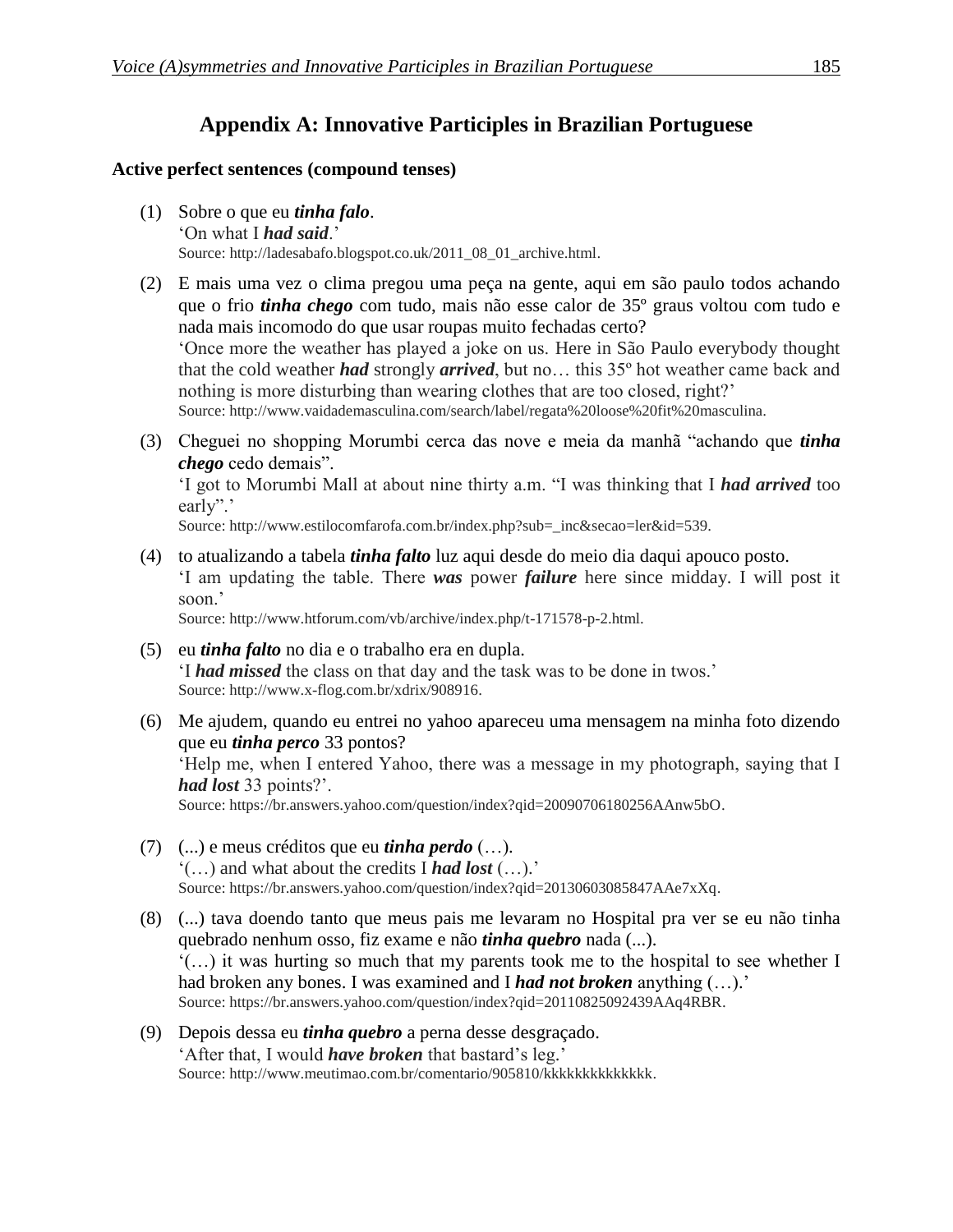### **Appendix A: Innovative Participles in Brazilian Portuguese**

### **Active perfect sentences (compound tenses)**

- (1) Sobre o que eu *tinha falo*. 'On what I *had said*.' Source: http://ladesabafo.blogspot.co.uk/2011\_08\_01\_archive.html.
- (2) E mais uma vez o clima pregou uma peça na gente, aqui em são paulo todos achando que o frio *tinha chego* com tudo, mais não esse calor de 35º graus voltou com tudo e nada mais incomodo do que usar roupas muito fechadas certo?

'Once more the weather has played a joke on us. Here in São Paulo everybody thought that the cold weather *had* strongly *arrived*, but no… this 35º hot weather came back and nothing is more disturbing than wearing clothes that are too closed, right?'

Source: http://www.vaidademasculina.com/search/label/regata%20loose%20fit%20masculina.

(3) Cheguei no shopping Morumbi cerca das nove e meia da manhã "achando que *tinha chego* cedo demais".

'I got to Morumbi Mall at about nine thirty a.m. "I was thinking that I *had arrived* too early".'

Source: http://www.estilocomfarofa.com.br/index.php?sub=\_inc&secao=ler&id=539.

(4) to atualizando a tabela *tinha falto* luz aqui desde do meio dia daqui apouco posto. 'I am updating the table. There *was* power *failure* here since midday. I will post it soon.'

Source: http://www.htforum.com/vb/archive/index.php/t-171578-p-2.html.

- (5) eu *tinha falto* no dia e o trabalho era en dupla. 'I *had missed* the class on that day and the task was to be done in twos.' Source: http://www.x-flog.com.br/xdrix/908916.
- (6) Me ajudem, quando eu entrei no yahoo apareceu uma mensagem na minha foto dizendo que eu *tinha perco* 33 pontos?

'Help me, when I entered Yahoo, there was a message in my photograph, saying that I *had lost* 33 points?'.

Source: https://br.answers.yahoo.com/question/index?qid=20090706180256AAnw5bO.

- (7) (...) e meus créditos que eu *tinha perdo* (…). '(…) and what about the credits I *had lost* (…).' Source: https://br.answers.yahoo.com/question/index?qid=20130603085847AAe7xXq.
- (8) (...) tava doendo tanto que meus pais me levaram no Hospital pra ver se eu não tinha quebrado nenhum osso, fiz exame e não *tinha quebro* nada (...). '(…) it was hurting so much that my parents took me to the hospital to see whether I had broken any bones. I was examined and I *had not broken* anything (…).' Source: https://br.answers.yahoo.com/question/index?qid=20110825092439AAq4RBR.
- (9) Depois dessa eu *tinha quebro* a perna desse desgraçado. 'After that, I would *have broken* that bastard's leg.' Source: http://www.meutimao.com.br/comentario/905810/kkkkkkkkkkkkkkk.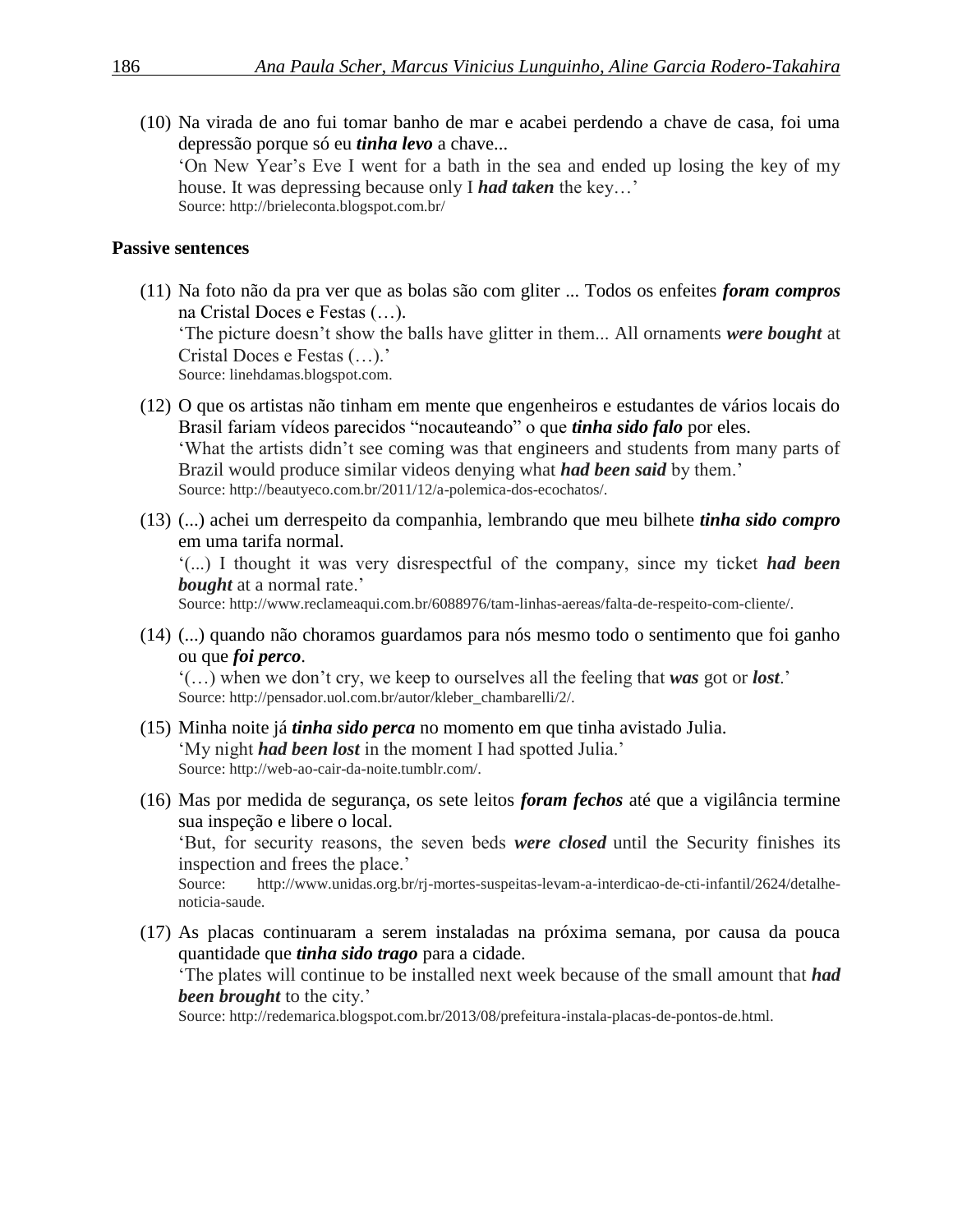(10) Na virada de ano fui tomar banho de mar e acabei perdendo a chave de casa, foi uma depressão porque só eu *tinha levo* a chave... 'On New Year's Eve I went for a bath in the sea and ended up losing the key of my house. It was depressing because only I *had taken* the key…'

Source: http://brieleconta.blogspot.com.br/

#### **Passive sentences**

(11) Na foto não da pra ver que as bolas são com gliter ... Todos os enfeites *foram compros* na Cristal Doces e Festas (…).

'The picture doesn't show the balls have glitter in them... All ornaments *were bought* at Cristal Doces e Festas (…).'

Source: linehdamas.blogspot.com.

- (12) O que os artistas não tinham em mente que engenheiros e estudantes de vários locais do Brasil fariam vídeos parecidos "nocauteando" o que *tinha sido falo* por eles. 'What the artists didn't see coming was that engineers and students from many parts of Brazil would produce similar videos denying what *had been said* by them.' Source: http://beautyeco.com.br/2011/12/a-polemica-dos-ecochatos/.
- (13) (...) achei um derrespeito da companhia, lembrando que meu bilhete *tinha sido compro* em uma tarifa normal.

'(...) I thought it was very disrespectful of the company, since my ticket *had been bought* at a normal rate.'

Source: http://www.reclameaqui.com.br/6088976/tam-linhas-aereas/falta-de-respeito-com-cliente/.

(14) (...) quando não choramos guardamos para nós mesmo todo o sentimento que foi ganho ou que *foi perco*.

'(…) when we don't cry, we keep to ourselves all the feeling that *was* got or *lost*.' Source: http://pensador.uol.com.br/autor/kleber\_chambarelli/2/.

- (15) Minha noite já *tinha sido perca* no momento em que tinha avistado Julia. 'My night *had been lost* in the moment I had spotted Julia.' Source: http://web-ao-cair-da-noite.tumblr.com/.
- (16) Mas por medida de segurança, os sete leitos *foram fechos* até que a vigilância termine sua inspeção e libere o local.

'But, for security reasons, the seven beds *were closed* until the Security finishes its inspection and frees the place.'

Source: http://www.unidas.org.br/rj-mortes-suspeitas-levam-a-interdicao-de-cti-infantil/2624/detalhenoticia-saude.

(17) As placas continuaram a serem instaladas na próxima semana, por causa da pouca quantidade que *tinha sido trago* para a cidade.

'The plates will continue to be installed next week because of the small amount that *had been brought* to the city.'

Source: http://redemarica.blogspot.com.br/2013/08/prefeitura-instala-placas-de-pontos-de.html.